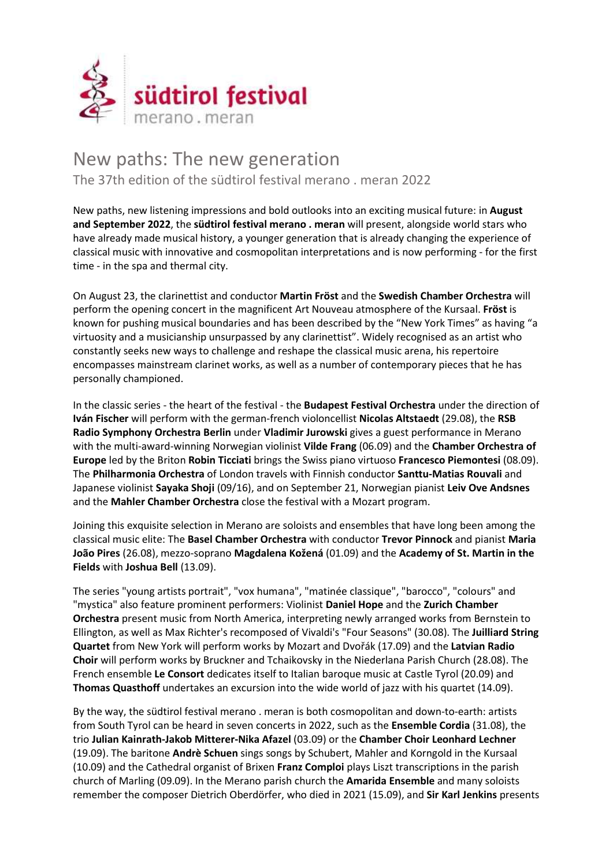

## New paths: The new generation The 37th edition of the südtirol festival merano . meran 2022

New paths, new listening impressions and bold outlooks into an exciting musical future: in August and September 2022, the südtirol festival merano . meran will present, alongside world stars who have already made musical history, a younger generation that is already changing the experience of classical music with innovative and cosmopolitan interpretations and is now performing - for the first time - in the spa and thermal city.

On August 23, the clarinettist and conductor Martin Fröst and the Swedish Chamber Orchestra will perform the opening concert in the magnificent Art Nouveau atmosphere of the Kursaal. Fröst is known for pushing musical boundaries and has been described by the "New York Times" as having "a virtuosity and a musicianship unsurpassed by any clarinettist". Widely recognised as an artist who constantly seeks new ways to challenge and reshape the classical music arena, his repertoire encompasses mainstream clarinet works, as well as a number of contemporary pieces that he has personally championed.

In the classic series - the heart of the festival - the **Budapest Festival Orchestra** under the direction of Iván Fischer will perform with the german-french violoncellist Nicolas Altstaedt (29.08), the RSB Radio Symphony Orchestra Berlin under Vladimir Jurowski gives a guest performance in Merano with the multi-award-winning Norwegian violinist Vilde Frang (06.09) and the Chamber Orchestra of Europe led by the Briton Robin Ticciati brings the Swiss piano virtuoso Francesco Piemontesi (08.09). The Philharmonia Orchestra of London travels with Finnish conductor Santtu-Matias Rouvali and Japanese violinist Sayaka Shoji (09/16), and on September 21, Norwegian pianist Leiv Ove Andsnes and the Mahler Chamber Orchestra close the festival with a Mozart program.

Joining this exquisite selection in Merano are soloists and ensembles that have long been among the classical music elite: The Basel Chamber Orchestra with conductor Trevor Pinnock and pianist Maria João Pires (26.08), mezzo-soprano Magdalena Kožená (01.09) and the Academy of St. Martin in the Fields with Joshua Bell (13.09).

The series "young artists portrait", "vox humana", "matinée classique", "barocco", "colours" and "mystica" also feature prominent performers: Violinist Daniel Hope and the Zurich Chamber Orchestra present music from North America, interpreting newly arranged works from Bernstein to Ellington, as well as Max Richter's recomposed of Vivaldi's "Four Seasons" (30.08). The Juilliard String Quartet from New York will perform works by Mozart and Dvořák (17.09) and the Latvian Radio Choir will perform works by Bruckner and Tchaikovsky in the Niederlana Parish Church (28.08). The French ensemble Le Consort dedicates itself to Italian baroque music at Castle Tyrol (20.09) and Thomas Quasthoff undertakes an excursion into the wide world of jazz with his quartet (14.09).

By the way, the südtirol festival merano . meran is both cosmopolitan and down-to-earth: artists from South Tyrol can be heard in seven concerts in 2022, such as the Ensemble Cordia (31.08), the trio Julian Kainrath-Jakob Mitterer-Nika Afazel (03.09) or the Chamber Choir Leonhard Lechner (19.09). The baritone Andrè Schuen sings songs by Schubert, Mahler and Korngold in the Kursaal (10.09) and the Cathedral organist of Brixen Franz Comploi plays Liszt transcriptions in the parish church of Marling (09.09). In the Merano parish church the **Amarida Ensemble** and many soloists remember the composer Dietrich Oberdörfer, who died in 2021 (15.09), and Sir Karl Jenkins presents